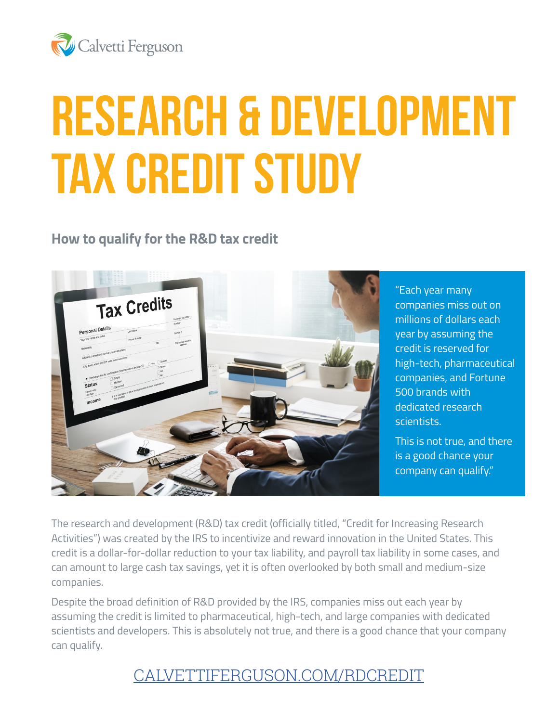

# **RESEARCH & DEVELOPMENT TAX CREDIT STUDY**

#### **How to qualify for the R&D tax credit**



"Each year many companies miss out on millions of dollars each year by assuming the credit is reserved for high-tech, pharmaceutical companies, and Fortune 500 brands with dedicated research scientists.

This is not true, and there is a good chance your company can qualify."

The research and development (R&D) tax credit (officially titled, "Credit for Increasing Research Activities") was created by the IRS to incentivize and reward innovation in the United States. This credit is a dollar-for-dollar reduction to your tax liability, and payroll tax liability in some cases, and can amount to large cash tax savings, yet it is often overlooked by both small and medium-size companies.

Despite the broad definition of R&D provided by the IRS, companies miss out each year by assuming the credit is limited to pharmaceutical, high-tech, and large companies with dedicated scientists and developers. This is absolutely not true, and there is a good chance that your company can qualify.

### [CALVETTIFERGUSON.COM/RDCREDIT](http://calvettiferguson.com/RDCREDIT)